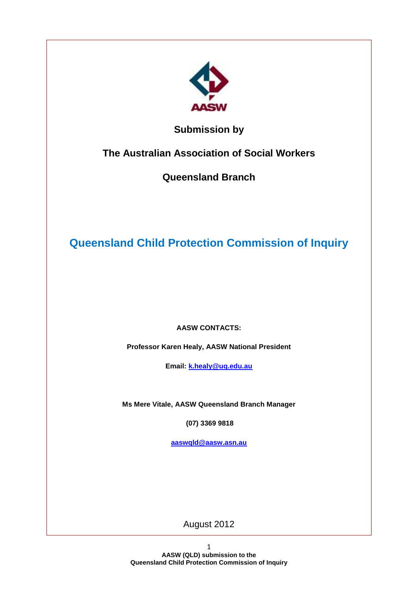

# **Submission by**

**The Australian Association of Social Workers** 

**Queensland Branch**

**Queensland Child Protection Commission of Inquiry**

**AASW CONTACTS:**

**Professor Karen Healy, AASW National President**

**Email: [k.healy@uq.edu.au](mailto:k.healy@uq.edu.au)**

**Ms Mere Vitale, AASW Queensland Branch Manager**

**(07) 3369 9818**

**[aaswqld@aasw.asn.au](mailto:aaswqld@aasw.asn.au)**

August 2012

1 **AASW (QLD) submission to the Queensland Child Protection Commission of Inquiry**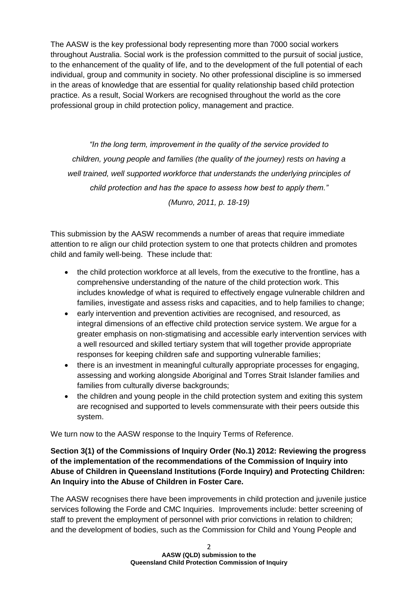The AASW is the key professional body representing more than 7000 social workers throughout Australia. Social work is the profession committed to the pursuit of social justice, to the enhancement of the quality of life, and to the development of the full potential of each individual, group and community in society. No other professional discipline is so immersed in the areas of knowledge that are essential for quality relationship based child protection practice. As a result, Social Workers are recognised throughout the world as the core professional group in child protection policy, management and practice.

*"In the long term, improvement in the quality of the service provided to children, young people and families (the quality of the journey) rests on having a well trained, well supported workforce that understands the underlying principles of child protection and has the space to assess how best to apply them."* 

*(Munro, 2011, p. 18-19)*

This submission by the AASW recommends a number of areas that require immediate attention to re align our child protection system to one that protects children and promotes child and family well-being. These include that:

- the child protection workforce at all levels, from the executive to the frontline, has a comprehensive understanding of the nature of the child protection work. This includes knowledge of what is required to effectively engage vulnerable children and families, investigate and assess risks and capacities, and to help families to change;
- early intervention and prevention activities are recognised, and resourced, as integral dimensions of an effective child protection service system. We argue for a greater emphasis on non-stigmatising and accessible early intervention services with a well resourced and skilled tertiary system that will together provide appropriate responses for keeping children safe and supporting vulnerable families;
- there is an investment in meaningful culturally appropriate processes for engaging, assessing and working alongside Aboriginal and Torres Strait Islander families and families from culturally diverse backgrounds;
- the children and young people in the child protection system and exiting this system are recognised and supported to levels commensurate with their peers outside this system.

We turn now to the AASW response to the Inquiry Terms of Reference.

**Section 3(1) of the Commissions of Inquiry Order (No.1) 2012: Reviewing the progress of the implementation of the recommendations of the Commission of Inquiry into Abuse of Children in Queensland Institutions (Forde Inquiry) and Protecting Children: An Inquiry into the Abuse of Children in Foster Care.**

The AASW recognises there have been improvements in child protection and juvenile justice services following the Forde and CMC Inquiries. Improvements include: better screening of staff to prevent the employment of personnel with prior convictions in relation to children; and the development of bodies, such as the Commission for Child and Young People and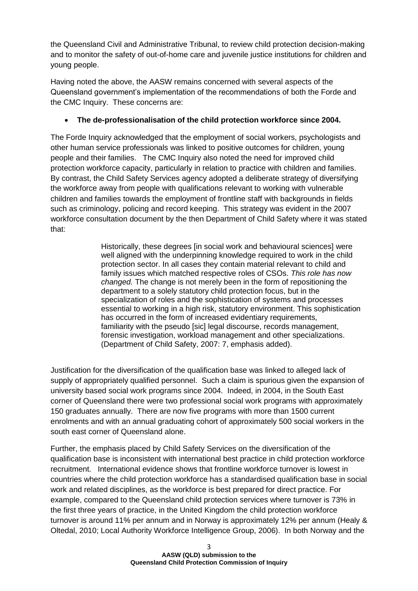the Queensland Civil and Administrative Tribunal, to review child protection decision-making and to monitor the safety of out-of-home care and juvenile justice institutions for children and young people.

Having noted the above, the AASW remains concerned with several aspects of the Queensland government's implementation of the recommendations of both the Forde and the CMC Inquiry. These concerns are:

# **The de-professionalisation of the child protection workforce since 2004.**

The Forde Inquiry acknowledged that the employment of social workers, psychologists and other human service professionals was linked to positive outcomes for children, young people and their families. The CMC Inquiry also noted the need for improved child protection workforce capacity, particularly in relation to practice with children and families. By contrast, the Child Safety Services agency adopted a deliberate strategy of diversifying the workforce away from people with qualifications relevant to working with vulnerable children and families towards the employment of frontline staff with backgrounds in fields such as criminology, policing and record keeping. This strategy was evident in the 2007 workforce consultation document by the then Department of Child Safety where it was stated that:

> Historically, these degrees [in social work and behavioural sciences] were well aligned with the underpinning knowledge required to work in the child protection sector. In all cases they contain material relevant to child and family issues which matched respective roles of CSOs. *This role has now changed.* The change is not merely been in the form of repositioning the department to a solely statutory child protection focus, but in the specialization of roles and the sophistication of systems and processes essential to working in a high risk, statutory environment. This sophistication has occurred in the form of increased evidentiary requirements, familiarity with the pseudo [sic] legal discourse, records management, forensic investigation, workload management and other specializations. (Department of Child Safety, 2007: 7, emphasis added).

Justification for the diversification of the qualification base was linked to alleged lack of supply of appropriately qualified personnel. Such a claim is spurious given the expansion of university based social work programs since 2004. Indeed, in 2004, in the South East corner of Queensland there were two professional social work programs with approximately 150 graduates annually. There are now five programs with more than 1500 current enrolments and with an annual graduating cohort of approximately 500 social workers in the south east corner of Queensland alone.

Further, the emphasis placed by Child Safety Services on the diversification of the qualification base is inconsistent with international best practice in child protection workforce recruitment. International evidence shows that frontline workforce turnover is lowest in countries where the child protection workforce has a standardised qualification base in social work and related disciplines, as the workforce is best prepared for direct practice. For example, compared to the Queensland child protection services where turnover is 73% in the first three years of practice, in the United Kingdom the child protection workforce turnover is around 11% per annum and in Norway is approximately 12% per annum (Healy & Oltedal, 2010; Local Authority Workforce Intelligence Group, 2006). In both Norway and the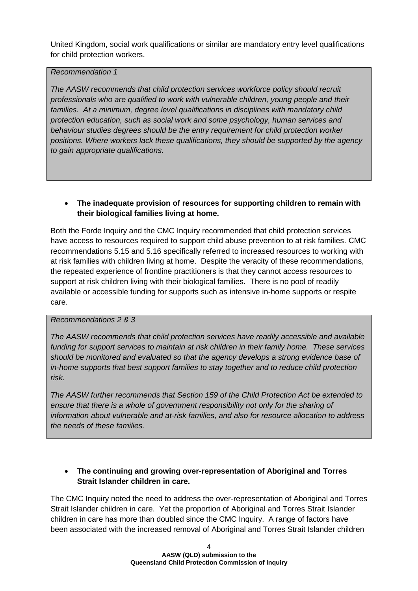United Kingdom, social work qualifications or similar are mandatory entry level qualifications for child protection workers.

#### *Recommendation 1*

*The AASW recommends that child protection services workforce policy should recruit professionals who are qualified to work with vulnerable children, young people and their*  families. At a minimum, degree level qualifications in disciplines with mandatory child *protection education, such as social work and some psychology, human services and behaviour studies degrees should be the entry requirement for child protection worker positions. Where workers lack these qualifications, they should be supported by the agency to gain appropriate qualifications.* 

### **The inadequate provision of resources for supporting children to remain with their biological families living at home.**

Both the Forde Inquiry and the CMC Inquiry recommended that child protection services have access to resources required to support child abuse prevention to at risk families. CMC recommendations 5.15 and 5.16 specifically referred to increased resources to working with at risk families with children living at home. Despite the veracity of these recommendations, the repeated experience of frontline practitioners is that they cannot access resources to support at risk children living with their biological families. There is no pool of readily available or accessible funding for supports such as intensive in-home supports or respite care.

### *Recommendations 2 & 3*

*The AASW recommends that child protection services have readily accessible and available funding for support services to maintain at risk children in their family home. These services should be monitored and evaluated so that the agency develops a strong evidence base of in-home supports that best support families to stay together and to reduce child protection risk.* 

*The AASW further recommends that Section 159 of the Child Protection Act be extended to ensure that there is a whole of government responsibility not only for the sharing of information about vulnerable and at-risk families, and also for resource allocation to address the needs of these families.* 

# **The continuing and growing over-representation of Aboriginal and Torres Strait Islander children in care.**

The CMC Inquiry noted the need to address the over-representation of Aboriginal and Torres Strait Islander children in care. Yet the proportion of Aboriginal and Torres Strait Islander children in care has more than doubled since the CMC Inquiry. A range of factors have been associated with the increased removal of Aboriginal and Torres Strait Islander children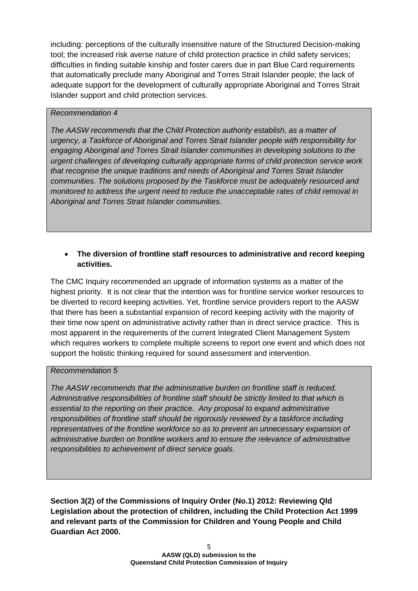including: perceptions of the culturally insensitive nature of the Structured Decision-making tool; the increased risk averse nature of child protection practice in child safety services; difficulties in finding suitable kinship and foster carers due in part Blue Card requirements that automatically preclude many Aboriginal and Torres Strait Islander people; the lack of adequate support for the development of culturally appropriate Aboriginal and Torres Strait Islander support and child protection services.

### *Recommendation 4*

*The AASW recommends that the Child Protection authority establish, as a matter of urgency, a Taskforce of Aboriginal and Torres Strait Islander people with responsibility for engaging Aboriginal and Torres Strait Islander communities in developing solutions to the urgent challenges of developing culturally appropriate forms of child protection service work that recognise the unique traditions and needs of Aboriginal and Torres Strait Islander communities. The solutions proposed by the Taskforce must be adequately resourced and monitored to address the urgent need to reduce the unacceptable rates of child removal in Aboriginal and Torres Strait Islander communities.* 

### **The diversion of frontline staff resources to administrative and record keeping activities.**

The CMC Inquiry recommended an upgrade of information systems as a matter of the highest priority. It is not clear that the intention was for frontline service worker resources to be diverted to record keeping activities. Yet, frontline service providers report to the AASW that there has been a substantial expansion of record keeping activity with the majority of their time now spent on administrative activity rather than in direct service practice. This is most apparent in the requirements of the current Integrated Client Management System which requires workers to complete multiple screens to report one event and which does not support the holistic thinking required for sound assessment and intervention.

### *Recommendation 5*

*The AASW recommends that the administrative burden on frontline staff is reduced. Administrative responsibilities of frontline staff should be strictly limited to that which is essential to the reporting on their practice. Any proposal to expand administrative responsibilities of frontline staff should be rigorously reviewed by a taskforce including representatives of the frontline workforce so as to prevent an unnecessary expansion of administrative burden on frontline workers and to ensure the relevance of administrative responsibilities to achievement of direct service goals.*

**Section 3(2) of the Commissions of Inquiry Order (No.1) 2012: Reviewing Qld Legislation about the protection of children, including the Child Protection Act 1999 and relevant parts of the Commission for Children and Young People and Child Guardian Act 2000.**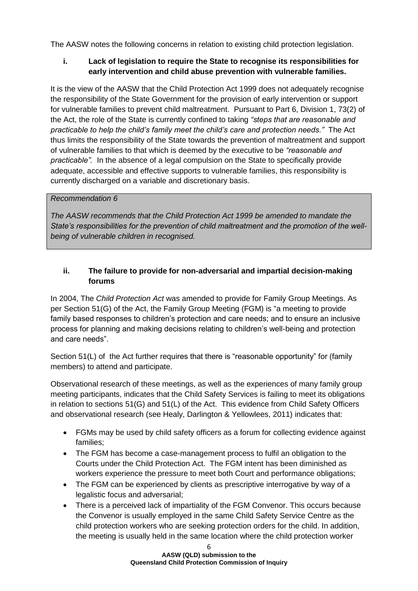The AASW notes the following concerns in relation to existing child protection legislation.

# **i. Lack of legislation to require the State to recognise its responsibilities for early intervention and child abuse prevention with vulnerable families.**

It is the view of the AASW that the Child Protection Act 1999 does not adequately recognise the responsibility of the State Government for the provision of early intervention or support for vulnerable families to prevent child maltreatment. Pursuant to Part 6, Division 1, 73(2) of the Act, the role of the State is currently confined to taking *"steps that are reasonable and practicable to help the child's family meet the child's care and protection needs."* The Act thus limits the responsibility of the State towards the prevention of maltreatment and support of vulnerable families to that which is deemed by the executive to be *"reasonable and practicable".* In the absence of a legal compulsion on the State to specifically provide adequate, accessible and effective supports to vulnerable families, this responsibility is currently discharged on a variable and discretionary basis.

### *Recommendation 6*

*The AASW recommends that the Child Protection Act 1999 be amended to mandate the State's responsibilities for the prevention of child maltreatment and the promotion of the wellbeing of vulnerable children in recognised.* 

### **ii. The failure to provide for non-adversarial and impartial decision-making forums**

In 2004, The *Child Protection Act* was amended to provide for Family Group Meetings. As per Section 51(G) of the Act, the Family Group Meeting (FGM) is "a meeting to provide family based responses to children's protection and care needs; and to ensure an inclusive process for planning and making decisions relating to children's well-being and protection and care needs".

Section 51(L) of the Act further requires that there is "reasonable opportunity" for (family members) to attend and participate.

Observational research of these meetings, as well as the experiences of many family group meeting participants, indicates that the Child Safety Services is failing to meet its obligations in relation to sections 51(G) and 51(L) of the Act. This evidence from Child Safety Officers and observational research (see Healy, Darlington & Yellowlees, 2011) indicates that:

- FGMs may be used by child safety officers as a forum for collecting evidence against families;
- The FGM has become a case-management process to fulfil an obligation to the Courts under the Child Protection Act. The FGM intent has been diminished as workers experience the pressure to meet both Court and performance obligations;
- The FGM can be experienced by clients as prescriptive interrogative by way of a legalistic focus and adversarial;
- There is a perceived lack of impartiality of the FGM Convenor. This occurs because the Convenor is usually employed in the same Child Safety Service Centre as the child protection workers who are seeking protection orders for the child. In addition, the meeting is usually held in the same location where the child protection worker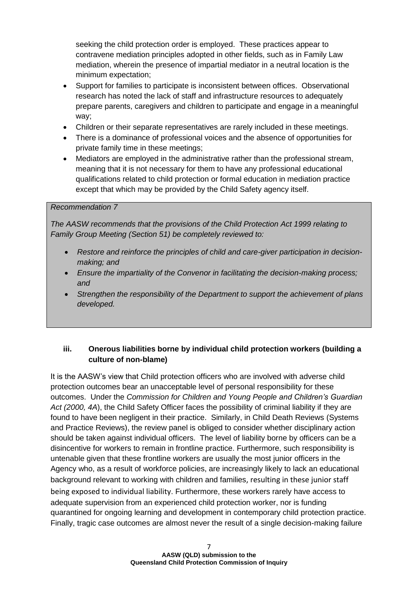seeking the child protection order is employed. These practices appear to contravene mediation principles adopted in other fields, such as in Family Law mediation, wherein the presence of impartial mediator in a neutral location is the minimum expectation;

- Support for families to participate is inconsistent between offices. Observational research has noted the lack of staff and infrastructure resources to adequately prepare parents, caregivers and children to participate and engage in a meaningful way;
- Children or their separate representatives are rarely included in these meetings.
- There is a dominance of professional voices and the absence of opportunities for private family time in these meetings;
- Mediators are employed in the administrative rather than the professional stream, meaning that it is not necessary for them to have any professional educational qualifications related to child protection or formal education in mediation practice except that which may be provided by the Child Safety agency itself.

#### *Recommendation 7*

*The AASW recommends that the provisions of the Child Protection Act 1999 relating to Family Group Meeting (Section 51) be completely reviewed to:* 

- *Restore and reinforce the principles of child and care-giver participation in decisionmaking; and*
- *Ensure the impartiality of the Convenor in facilitating the decision-making process; and*
- *Strengthen the responsibility of the Department to support the achievement of plans developed.*

### **iii. Onerous liabilities borne by individual child protection workers (building a culture of non-blame)**

It is the AASW's view that Child protection officers who are involved with adverse child protection outcomes bear an unacceptable level of personal responsibility for these outcomes. Under the *Commission for Children and Young People and Children's Guardian Act (2000, 4A*), the Child Safety Officer faces the possibility of criminal liability if they are found to have been negligent in their practice. Similarly, in Child Death Reviews (Systems and Practice Reviews), the review panel is obliged to consider whether disciplinary action should be taken against individual officers. The level of liability borne by officers can be a disincentive for workers to remain in frontline practice. Furthermore, such responsibility is untenable given that these frontline workers are usually the most junior officers in the Agency who, as a result of workforce policies, are increasingly likely to lack an educational background relevant to working with children and families, resulting in these junior staff being exposed to individual liability. Furthermore, these workers rarely have access to adequate supervision from an experienced child protection worker, nor is funding quarantined for ongoing learning and development in contemporary child protection practice. Finally, tragic case outcomes are almost never the result of a single decision-making failure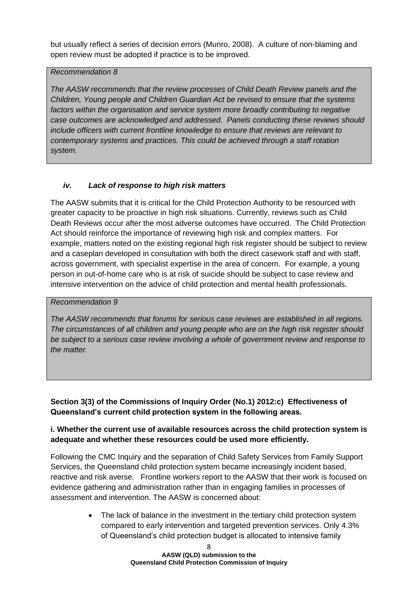but usually reflect a series of decision errors (Munro, 2008). A culture of non-blaming and open review must be adopted if practice is to be improved.

#### *Recommendation 8*

*The AASW recommends that the review processes of Child Death Review panels and the Children, Young people and Children Guardian Act be revised to ensure that the systems*  factors within the organisation and service system more broadly contributing to negative *case outcomes are acknowledged and addressed. Panels conducting these reviews should include officers with current frontline knowledge to ensure that reviews are relevant to contemporary systems and practices. This could be achieved through a staff rotation system.* 

# *iv. Lack of response to high risk matters*

The AASW submits that it is critical for the Child Protection Authority to be resourced with greater capacity to be proactive in high risk situations. Currently, reviews such as Child Death Reviews occur after the most adverse outcomes have occurred. The Child Protection Act should reinforce the importance of reviewing high risk and complex matters. For example, matters noted on the existing regional high risk register should be subject to review and a caseplan developed in consultation with both the direct casework staff and with staff, across government, with specialist expertise in the area of concern. For example, a young person in out-of-home care who is at risk of suicide should be subject to case review and intensive intervention on the advice of child protection and mental health professionals.

### *Recommendation 9*

*The AASW recommends that forums for serious case reviews are established in all regions. The circumstances of all children and young people who are on the high risk register should be subject to a serious case review involving a whole of government review and response to the matter.* 

# **Section 3(3) of the Commissions of Inquiry Order (No.1) 2012:c) Effectiveness of Queensland's current child protection system in the following areas.**

# **i. Whether the current use of available resources across the child protection system is adequate and whether these resources could be used more efficiently.**

Following the CMC Inquiry and the separation of Child Safety Services from Family Support Services, the Queensland child protection system became increasingly incident based, reactive and risk averse. Frontline workers report to the AASW that their work is focused on evidence gathering and administration rather than in engaging families in processes of assessment and intervention. The AASW is concerned about:

> The lack of balance in the investment in the tertiary child protection system compared to early intervention and targeted prevention services. Only 4.3% of Queensland's child protection budget is allocated to intensive family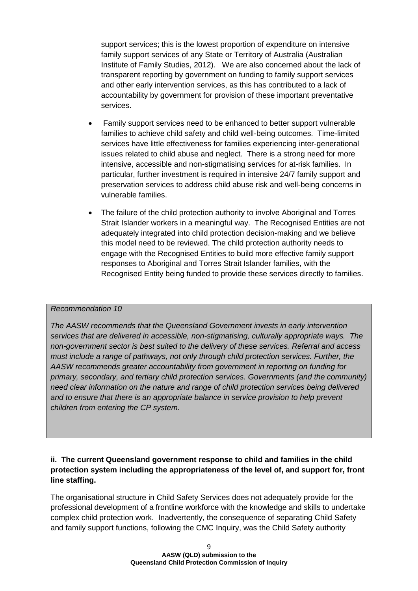support services; this is the lowest proportion of expenditure on intensive family support services of any State or Territory of Australia (Australian Institute of Family Studies, 2012). We are also concerned about the lack of transparent reporting by government on funding to family support services and other early intervention services, as this has contributed to a lack of accountability by government for provision of these important preventative services.

- Family support services need to be enhanced to better support vulnerable families to achieve child safety and child well-being outcomes. Time-limited services have little effectiveness for families experiencing inter-generational issues related to child abuse and neglect. There is a strong need for more intensive, accessible and non-stigmatising services for at-risk families. In particular, further investment is required in intensive 24/7 family support and preservation services to address child abuse risk and well-being concerns in vulnerable families.
- The failure of the child protection authority to involve Aboriginal and Torres Strait Islander workers in a meaningful way. The Recognised Entities are not adequately integrated into child protection decision-making and we believe this model need to be reviewed. The child protection authority needs to engage with the Recognised Entities to build more effective family support responses to Aboriginal and Torres Strait Islander families, with the Recognised Entity being funded to provide these services directly to families.

#### *Recommendation 10*

*The AASW recommends that the Queensland Government invests in early intervention services that are delivered in accessible, non-stigmatising, culturally appropriate ways. The non-government sector is best suited to the delivery of these services. Referral and access must include a range of pathways, not only through child protection services. Further, the AASW recommends greater accountability from government in reporting on funding for primary, secondary, and tertiary child protection services. Governments (and the community) need clear information on the nature and range of child protection services being delivered and to ensure that there is an appropriate balance in service provision to help prevent children from entering the CP system.*

# **ii. The current Queensland government response to child and families in the child protection system including the appropriateness of the level of, and support for, front line staffing.**

The organisational structure in Child Safety Services does not adequately provide for the professional development of a frontline workforce with the knowledge and skills to undertake complex child protection work. Inadvertently, the consequence of separating Child Safety and family support functions, following the CMC Inquiry, was the Child Safety authority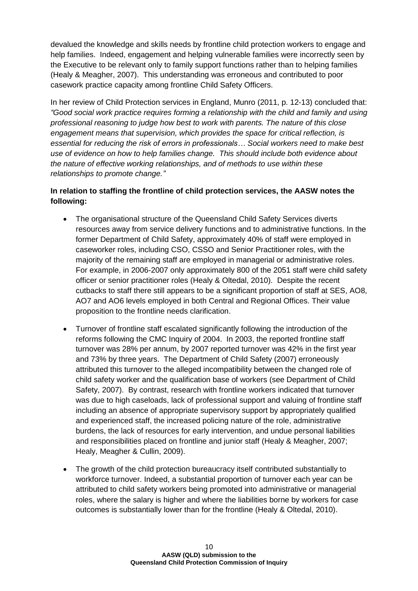devalued the knowledge and skills needs by frontline child protection workers to engage and help families. Indeed, engagement and helping vulnerable families were incorrectly seen by the Executive to be relevant only to family support functions rather than to helping families (Healy & Meagher, 2007). This understanding was erroneous and contributed to poor casework practice capacity among frontline Child Safety Officers.

In her review of Child Protection services in England, Munro (2011, p. 12-13) concluded that: *"Good social work practice requires forming a relationship with the child and family and using professional reasoning to judge how best to work with parents. The nature of this close engagement means that supervision, which provides the space for critical reflection, is essential for reducing the risk of errors in professionals… Social workers need to make best use of evidence on how to help families change. This should include both evidence about the nature of effective working relationships, and of methods to use within these relationships to promote change."*

# **In relation to staffing the frontline of child protection services, the AASW notes the following:**

- The organisational structure of the Queensland Child Safety Services diverts resources away from service delivery functions and to administrative functions. In the former Department of Child Safety, approximately 40% of staff were employed in caseworker roles, including CSO, CSSO and Senior Practitioner roles, with the majority of the remaining staff are employed in managerial or administrative roles. For example, in 2006-2007 only approximately 800 of the 2051 staff were child safety officer or senior practitioner roles (Healy & Oltedal, 2010). Despite the recent cutbacks to staff there still appears to be a significant proportion of staff at SES, AO8, AO7 and AO6 levels employed in both Central and Regional Offices. Their value proposition to the frontline needs clarification.
- Turnover of frontline staff escalated significantly following the introduction of the reforms following the CMC Inquiry of 2004. In 2003, the reported frontline staff turnover was 28% per annum, by 2007 reported turnover was 42% in the first year and 73% by three years. The Department of Child Safety (2007) erroneously attributed this turnover to the alleged incompatibility between the changed role of child safety worker and the qualification base of workers (see Department of Child Safety, 2007). By contrast, research with frontline workers indicated that turnover was due to high caseloads, lack of professional support and valuing of frontline staff including an absence of appropriate supervisory support by appropriately qualified and experienced staff, the increased policing nature of the role, administrative burdens, the lack of resources for early intervention, and undue personal liabilities and responsibilities placed on frontline and junior staff (Healy & Meagher, 2007; Healy, Meagher & Cullin, 2009).
- The growth of the child protection bureaucracy itself contributed substantially to workforce turnover. Indeed, a substantial proportion of turnover each year can be attributed to child safety workers being promoted into administrative or managerial roles, where the salary is higher and where the liabilities borne by workers for case outcomes is substantially lower than for the frontline (Healy & Oltedal, 2010).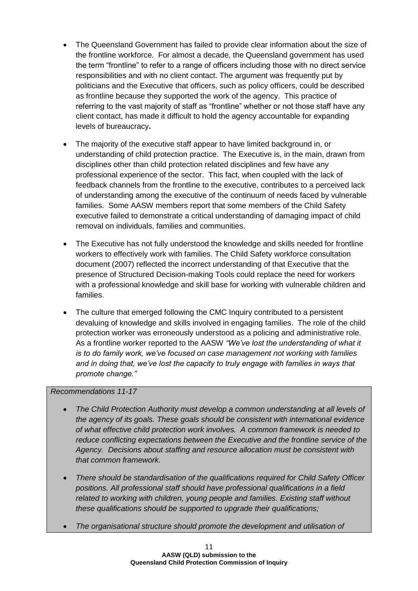- The Queensland Government has failed to provide clear information about the size of the frontline workforce. For almost a decade, the Queensland government has used the term "frontline" to refer to a range of officers including those with no direct service responsibilities and with no client contact. The argument was frequently put by politicians and the Executive that officers, such as policy officers, could be described as frontline because they supported the work of the agency. This practice of referring to the vast majority of staff as "frontline" whether or not those staff have any client contact, has made it difficult to hold the agency accountable for expanding levels of bureaucracy**.**
- The majority of the executive staff appear to have limited background in, or understanding of child protection practice. The Executive is, in the main, drawn from disciplines other than child protection related disciplines and few have any professional experience of the sector. This fact, when coupled with the lack of feedback channels from the frontline to the executive, contributes to a perceived lack of understanding among the executive of the continuum of needs faced by vulnerable families. Some AASW members report that some members of the Child Safety executive failed to demonstrate a critical understanding of damaging impact of child removal on individuals, families and communities.
- The Executive has not fully understood the knowledge and skills needed for frontline workers to effectively work with families. The Child Safety workforce consultation document (2007) reflected the incorrect understanding of that Executive that the presence of Structured Decision-making Tools could replace the need for workers with a professional knowledge and skill base for working with vulnerable children and families.
- The culture that emerged following the CMC Inquiry contributed to a persistent devaluing of knowledge and skills involved in engaging families. The role of the child protection worker was erroneously understood as a policing and administrative role. As a frontline worker reported to the AASW *"We've lost the understanding of what it is to do family work, we've focused on case management not working with families and in doing that, we've lost the capacity to truly engage with families in ways that promote change."*

### *Recommendations 11-17*

- *The Child Protection Authority must develop a common understanding at all levels of the agency of its goals. These goals should be consistent with international evidence of what effective child protection work involves. A common framework is needed to reduce conflicting expectations between the Executive and the frontline service of the Agency. Decisions about staffing and resource allocation must be consistent with that common framework.*
- *There should be standardisation of the qualifications required for Child Safety Officer positions. All professional staff should have professional qualifications in a field related to working with children, young people and families. Existing staff without these qualifications should be supported to upgrade their qualifications;*
- *The organisational structure should promote the development and utilisation of*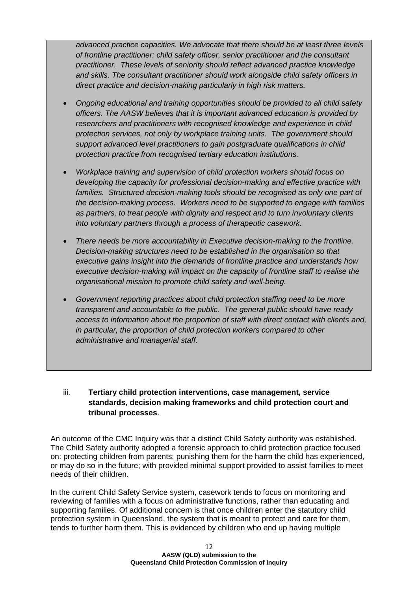*advanced practice capacities. We advocate that there should be at least three levels of frontline practitioner: child safety officer, senior practitioner and the consultant practitioner. These levels of seniority should reflect advanced practice knowledge and skills. The consultant practitioner should work alongside child safety officers in direct practice and decision-making particularly in high risk matters.* 

- *Ongoing educational and training opportunities should be provided to all child safety officers. The AASW believes that it is important advanced education is provided by researchers and practitioners with recognised knowledge and experience in child protection services, not only by workplace training units. The government should support advanced level practitioners to gain postgraduate qualifications in child protection practice from recognised tertiary education institutions.*
- *Workplace training and supervision of child protection workers should focus on developing the capacity for professional decision-making and effective practice with*  families. Structured decision-making tools should be recognised as only one part of *the decision-making process. Workers need to be supported to engage with families as partners, to treat people with dignity and respect and to turn involuntary clients into voluntary partners through a process of therapeutic casework.*
- *There needs be more accountability in Executive decision-making to the frontline. Decision-making structures need to be established in the organisation so that executive gains insight into the demands of frontline practice and understands how executive decision-making will impact on the capacity of frontline staff to realise the organisational mission to promote child safety and well-being.*
- *Government reporting practices about child protection staffing need to be more transparent and accountable to the public. The general public should have ready access to information about the proportion of staff with direct contact with clients and, in particular, the proportion of child protection workers compared to other administrative and managerial staff.*

### iii. **Tertiary child protection interventions, case management, service standards, decision making frameworks and child protection court and tribunal processes**.

An outcome of the CMC Inquiry was that a distinct Child Safety authority was established. The Child Safety authority adopted a forensic approach to child protection practice focused on: protecting children from parents; punishing them for the harm the child has experienced, or may do so in the future; with provided minimal support provided to assist families to meet needs of their children.

In the current Child Safety Service system, casework tends to focus on monitoring and reviewing of families with a focus on administrative functions, rather than educating and supporting families. Of additional concern is that once children enter the statutory child protection system in Queensland, the system that is meant to protect and care for them, tends to further harm them. This is evidenced by children who end up having multiple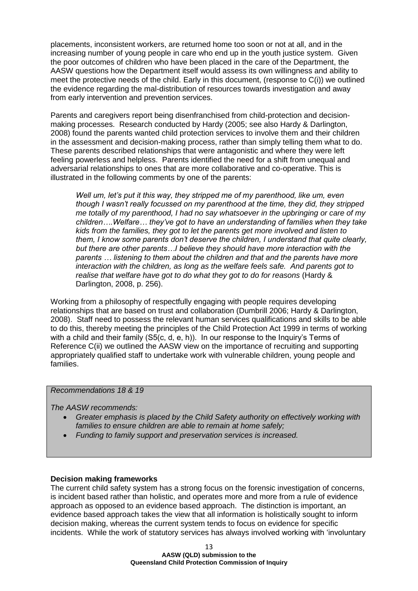placements, inconsistent workers, are returned home too soon or not at all, and in the increasing number of young people in care who end up in the youth justice system. Given the poor outcomes of children who have been placed in the care of the Department, the AASW questions how the Department itself would assess its own willingness and ability to meet the protective needs of the child. Early in this document, (response to C(i)) we outlined the evidence regarding the mal-distribution of resources towards investigation and away from early intervention and prevention services.

Parents and caregivers report being disenfranchised from child-protection and decisionmaking processes. Research conducted by Hardy (2005; see also Hardy & Darlington, 2008) found the parents wanted child protection services to involve them and their children in the assessment and decision-making process, rather than simply telling them what to do. These parents described relationships that were antagonistic and where they were left feeling powerless and helpless. Parents identified the need for a shift from unequal and adversarial relationships to ones that are more collaborative and co-operative. This is illustrated in the following comments by one of the parents:

*Well um, let's put it this way, they stripped me of my parenthood, like um, even though I wasn't really focussed on my parenthood at the time, they did, they stripped me totally of my parenthood, I had no say whatsoever in the upbringing or care of my children….Welfare… they've got to have an understanding of families when they take kids from the families, they got to let the parents get more involved and listen to them, I know some parents don't deserve the children, I understand that quite clearly, but there are other parents…I believe they should have more interaction with the parents … listening to them about the children and that and the parents have more interaction with the children, as long as the welfare feels safe. And parents got to realise that welfare have got to do what they got to do for reasons* (Hardy & Darlington, 2008, p. 256).

Working from a philosophy of respectfully engaging with people requires developing relationships that are based on trust and collaboration (Dumbrill 2006; Hardy & Darlington, 2008). Staff need to possess the relevant human services qualifications and skills to be able to do this, thereby meeting the principles of the Child Protection Act 1999 in terms of working with a child and their family (S5(c, d, e, h)). In our response to the Inquiry's Terms of Reference C(ii) we outlined the AASW view on the importance of recruiting and supporting appropriately qualified staff to undertake work with vulnerable children, young people and families.

#### *Recommendations 18 & 19*

*The AASW recommends:*

- *Greater emphasis is placed by the Child Safety authority on effectively working with families to ensure children are able to remain at home safely;*
- *Funding to family support and preservation services is increased.*

#### **Decision making frameworks**

The current child safety system has a strong focus on the forensic investigation of concerns, is incident based rather than holistic, and operates more and more from a rule of evidence approach as opposed to an evidence based approach. The distinction is important, an evidence based approach takes the view that all information is holistically sought to inform decision making, whereas the current system tends to focus on evidence for specific incidents. While the work of statutory services has always involved working with 'involuntary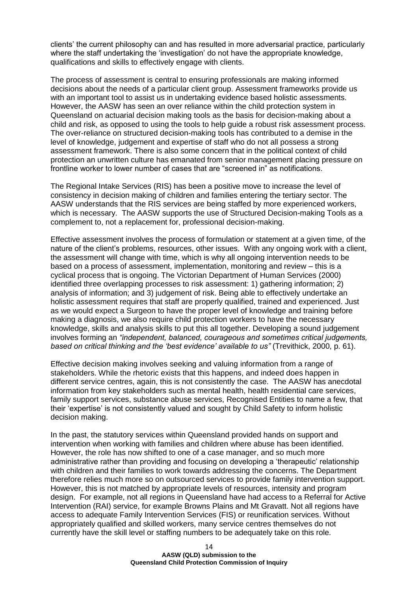clients' the current philosophy can and has resulted in more adversarial practice, particularly where the staff undertaking the 'investigation' do not have the appropriate knowledge, qualifications and skills to effectively engage with clients.

The process of assessment is central to ensuring professionals are making informed decisions about the needs of a particular client group. Assessment frameworks provide us with an important tool to assist us in undertaking evidence based holistic assessments. However, the AASW has seen an over reliance within the child protection system in Queensland on actuarial decision making tools as the basis for decision-making about a child and risk, as opposed to using the tools to help guide a robust risk assessment process. The over-reliance on structured decision-making tools has contributed to a demise in the level of knowledge, judgement and expertise of staff who do not all possess a strong assessment framework. There is also some concern that in the political context of child protection an unwritten culture has emanated from senior management placing pressure on frontline worker to lower number of cases that are "screened in" as notifications.

The Regional Intake Services (RIS) has been a positive move to increase the level of consistency in decision making of children and families entering the tertiary sector. The AASW understands that the RIS services are being staffed by more experienced workers, which is necessary. The AASW supports the use of Structured Decision-making Tools as a complement to, not a replacement for, professional decision-making.

Effective assessment involves the process of formulation or statement at a given time, of the nature of the client's problems, resources, other issues. With any ongoing work with a client, the assessment will change with time, which is why all ongoing intervention needs to be based on a process of assessment, implementation, monitoring and review – this is a cyclical process that is ongoing. The Victorian Department of Human Services (2000) identified three overlapping processes to risk assessment: 1) gathering information; 2) analysis of information; and 3) judgement of risk. Being able to effectively undertake an holistic assessment requires that staff are properly qualified, trained and experienced. Just as we would expect a Surgeon to have the proper level of knowledge and training before making a diagnosis, we also require child protection workers to have the necessary knowledge, skills and analysis skills to put this all together. Developing a sound judgement involves forming an *"independent, balanced, courageous and sometimes critical judgements, based on critical thinking and the 'best evidence' available to us"* (Trevithick, 2000, p. 61).

Effective decision making involves seeking and valuing information from a range of stakeholders. While the rhetoric exists that this happens, and indeed does happen in different service centres, again, this is not consistently the case. The AASW has anecdotal information from key stakeholders such as mental health, health residential care services, family support services, substance abuse services, Recognised Entities to name a few, that their 'expertise' is not consistently valued and sought by Child Safety to inform holistic decision making.

In the past, the statutory services within Queensland provided hands on support and intervention when working with families and children where abuse has been identified. However, the role has now shifted to one of a case manager, and so much more administrative rather than providing and focusing on developing a 'therapeutic' relationship with children and their families to work towards addressing the concerns. The Department therefore relies much more so on outsourced services to provide family intervention support. However, this is not matched by appropriate levels of resources, intensity and program design. For example, not all regions in Queensland have had access to a Referral for Active Intervention (RAI) service, for example Browns Plains and Mt Gravatt. Not all regions have access to adequate Family Intervention Services (FIS) or reunification services. Without appropriately qualified and skilled workers, many service centres themselves do not currently have the skill level or staffing numbers to be adequately take on this role.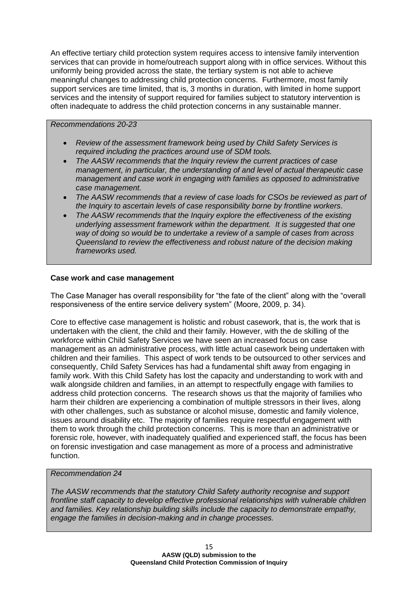An effective tertiary child protection system requires access to intensive family intervention services that can provide in home/outreach support along with in office services. Without this uniformly being provided across the state, the tertiary system is not able to achieve meaningful changes to addressing child protection concerns. Furthermore, most family support services are time limited, that is, 3 months in duration, with limited in home support services and the intensity of support required for families subject to statutory intervention is often inadequate to address the child protection concerns in any sustainable manner.

#### *Recommendations 20-23*

- *Review of the assessment framework being used by Child Safety Services is required including the practices around use of SDM tools.*
- *The AASW recommends that the Inquiry review the current practices of case management, in particular, the understanding of and level of actual therapeutic case management and case work in engaging with families as opposed to administrative case management.*
- *The AASW recommends that a review of case loads for CSOs be reviewed as part of the Inquiry to ascertain levels of case responsibility borne by frontline workers.*
- *The AASW recommends that the Inquiry explore the effectiveness of the existing underlying assessment framework within the department. It is suggested that one way of doing so would be to undertake a review of a sample of cases from across Queensland to review the effectiveness and robust nature of the decision making frameworks used.*

#### **Case work and case management**

The Case Manager has overall responsibility for "the fate of the client" along with the "overall responsiveness of the entire service delivery system" (Moore, 2009, p. 34).

Core to effective case management is holistic and robust casework, that is, the work that is undertaken with the client, the child and their family. However, with the de skilling of the workforce within Child Safety Services we have seen an increased focus on case management as an administrative process, with little actual casework being undertaken with children and their families. This aspect of work tends to be outsourced to other services and consequently, Child Safety Services has had a fundamental shift away from engaging in family work. With this Child Safety has lost the capacity and understanding to work with and walk alongside children and families, in an attempt to respectfully engage with families to address child protection concerns. The research shows us that the majority of families who harm their children are experiencing a combination of multiple stressors in their lives, along with other challenges, such as substance or alcohol misuse, domestic and family violence, issues around disability etc. The majority of families require respectful engagement with them to work through the child protection concerns. This is more than an administrative or forensic role, however, with inadequately qualified and experienced staff, the focus has been on forensic investigation and case management as more of a process and administrative function.

#### *Recommendation 24*

*The AASW recommends that the statutory Child Safety authority recognise and support frontline staff capacity to develop effective professional relationships with vulnerable children and families. Key relationship building skills include the capacity to demonstrate empathy, engage the families in decision-making and in change processes.*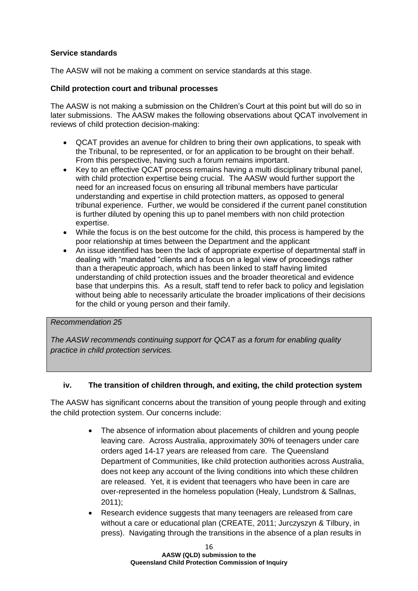### **Service standards**

The AASW will not be making a comment on service standards at this stage.

#### **Child protection court and tribunal processes**

The AASW is not making a submission on the Children's Court at this point but will do so in later submissions. The AASW makes the following observations about QCAT involvement in reviews of child protection decision-making:

- QCAT provides an avenue for children to bring their own applications, to speak with the Tribunal, to be represented, or for an application to be brought on their behalf. From this perspective, having such a forum remains important.
- Key to an effective QCAT process remains having a multi disciplinary tribunal panel, with child protection expertise being crucial. The AASW would further support the need for an increased focus on ensuring all tribunal members have particular understanding and expertise in child protection matters, as opposed to general tribunal experience. Further, we would be considered if the current panel constitution is further diluted by opening this up to panel members with non child protection expertise.
- While the focus is on the best outcome for the child, this process is hampered by the poor relationship at times between the Department and the applicant
- An issue identified has been the lack of appropriate expertise of departmental staff in dealing with "mandated "clients and a focus on a legal view of proceedings rather than a therapeutic approach, which has been linked to staff having limited understanding of child protection issues and the broader theoretical and evidence base that underpins this. As a result, staff tend to refer back to policy and legislation without being able to necessarily articulate the broader implications of their decisions for the child or young person and their family.

### *Recommendation 25*

*The AASW recommends continuing support for QCAT as a forum for enabling quality practice in child protection services.*

#### **iv. The transition of children through, and exiting, the child protection system**

The AASW has significant concerns about the transition of young people through and exiting the child protection system. Our concerns include:

- The absence of information about placements of children and young people leaving care. Across Australia, approximately 30% of teenagers under care orders aged 14-17 years are released from care. The Queensland Department of Communities, like child protection authorities across Australia, does not keep any account of the living conditions into which these children are released. Yet, it is evident that teenagers who have been in care are over-represented in the homeless population (Healy, Lundstrom & Sallnas, 2011);
- Research evidence suggests that many teenagers are released from care without a care or educational plan (CREATE, 2011; Jurczyszyn & Tilbury, in press). Navigating through the transitions in the absence of a plan results in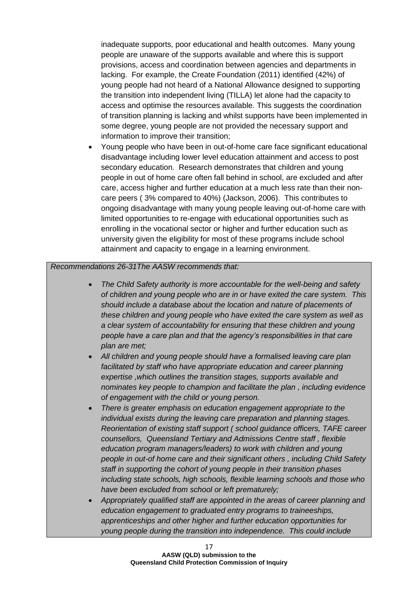inadequate supports, poor educational and health outcomes. Many young people are unaware of the supports available and where this is support provisions, access and coordination between agencies and departments in lacking. For example, the Create Foundation (2011) identified (42%) of young people had not heard of a National Allowance designed to supporting the transition into independent living (TILLA) let alone had the capacity to access and optimise the resources available. This suggests the coordination of transition planning is lacking and whilst supports have been implemented in some degree, young people are not provided the necessary support and information to improve their transition;

 Young people who have been in out-of-home care face significant educational disadvantage including lower level education attainment and access to post secondary education. Research demonstrates that children and young people in out of home care often fall behind in school, are excluded and after care, access higher and further education at a much less rate than their noncare peers ( 3% compared to 40%) (Jackson, 2006). This contributes to ongoing disadvantage with many young people leaving out-of-home care with limited opportunities to re-engage with educational opportunities such as enrolling in the vocational sector or higher and further education such as university given the eligibility for most of these programs include school attainment and capacity to engage in a learning environment.

#### *Recommendations 26-31The AASW recommends that:*

- *The Child Safety authority is more accountable for the well-being and safety of children and young people who are in or have exited the care system. This should include a database about the location and nature of placements of these children and young people who have exited the care system as well as a clear system of accountability for ensuring that these children and young people have a care plan and that the agency's responsibilities in that care plan are met;*
- *All children and young people should have a formalised leaving care plan facilitated by staff who have appropriate education and career planning expertise ,which outlines the transition stages, supports available and nominates key people to champion and facilitate the plan , including evidence of engagement with the child or young person.*
- *There is greater emphasis on education engagement appropriate to the individual exists during the leaving care preparation and planning stages. Reorientation of existing staff support ( school guidance officers, TAFE career counsellors, Queensland Tertiary and Admissions Centre staff , flexible education program managers/leaders) to work with children and young people in out-of home care and their significant others , including Child Safety staff in supporting the cohort of young people in their transition phases including state schools, high schools, flexible learning schools and those who have been excluded from school or left prematurely;*
- *Appropriately qualified staff are appointed in the areas of career planning and education engagement to graduated entry programs to traineeships, apprenticeships and other higher and further education opportunities for young people during the transition into independence. This could include*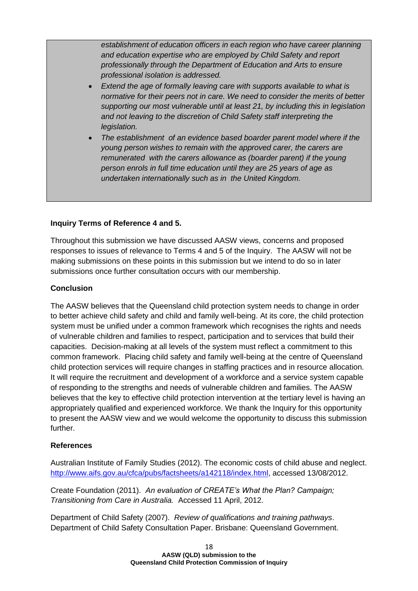*establishment of education officers in each region who have career planning and education expertise who are employed by Child Safety and report professionally through the Department of Education and Arts to ensure professional isolation is addressed.*

- *Extend the age of formally leaving care with supports available to what is normative for their peers not in care. We need to consider the merits of better supporting our most vulnerable until at least 21, by including this in legislation and not leaving to the discretion of Child Safety staff interpreting the legislation.*
- *The establishment of an evidence based boarder parent model where if the young person wishes to remain with the approved carer, the carers are remunerated with the carers allowance as (boarder parent) if the young person enrols in full time education until they are 25 years of age as undertaken internationally such as in the United Kingdom.*

### **Inquiry Terms of Reference 4 and 5.**

Throughout this submission we have discussed AASW views, concerns and proposed responses to issues of relevance to Terms 4 and 5 of the Inquiry. The AASW will not be making submissions on these points in this submission but we intend to do so in later submissions once further consultation occurs with our membership.

#### **Conclusion**

The AASW believes that the Queensland child protection system needs to change in order to better achieve child safety and child and family well-being. At its core, the child protection system must be unified under a common framework which recognises the rights and needs of vulnerable children and families to respect, participation and to services that build their capacities. Decision-making at all levels of the system must reflect a commitment to this common framework. Placing child safety and family well-being at the centre of Queensland child protection services will require changes in staffing practices and in resource allocation. It will require the recruitment and development of a workforce and a service system capable of responding to the strengths and needs of vulnerable children and families. The AASW believes that the key to effective child protection intervention at the tertiary level is having an appropriately qualified and experienced workforce. We thank the Inquiry for this opportunity to present the AASW view and we would welcome the opportunity to discuss this submission further.

#### **References**

Australian Institute of Family Studies (2012). The economic costs of child abuse and neglect. [http://www.aifs.gov.au/cfca/pubs/factsheets/a142118/index.html,](http://www.aifs.gov.au/cfca/pubs/factsheets/a142118/index.html) accessed 13/08/2012.

Create Foundation (2011). *An evaluation of CREATE's What the Plan? Campaign; Transitioning from Care in Australia.* Accessed 11 April, 2012.

Department of Child Safety (2007). *Review of qualifications and training pathways*. Department of Child Safety Consultation Paper. Brisbane: Queensland Government.